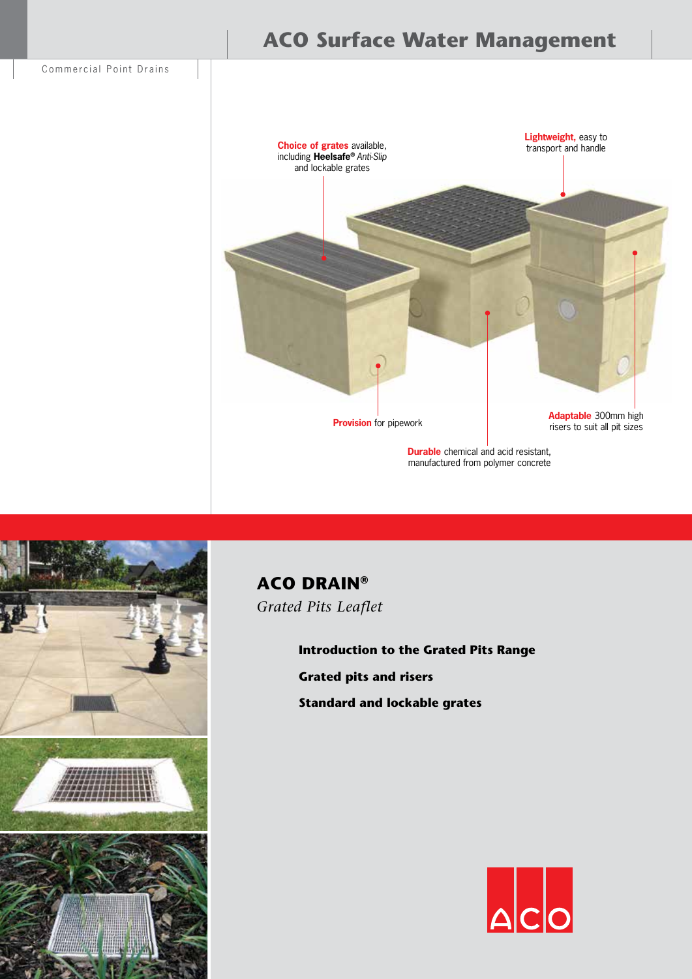

# **ACO Surface Water Management**



manufactured from polymer concrete



**ACO DRAIN®** *Grated Pits Leaflet*

> **Introduction to the Grated Pits Range Grated pits and risers Standard and lockable grates**